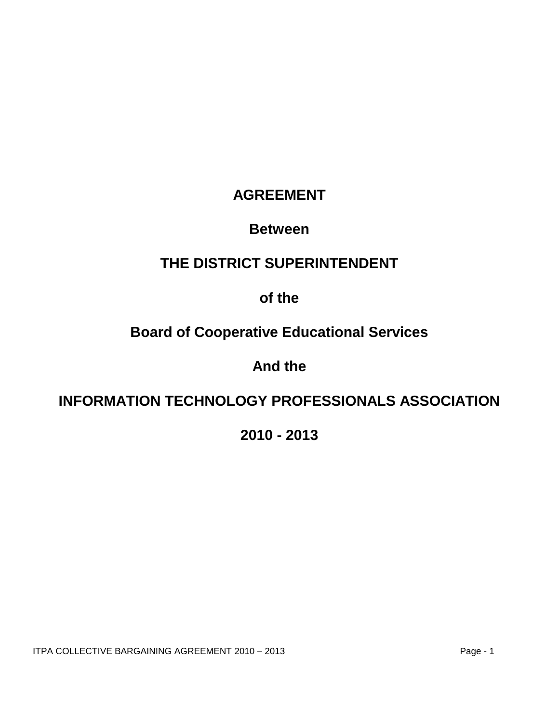# **AGREEMENT**

# **Between**

# **THE DISTRICT SUPERINTENDENT**

# **of the**

# **Board of Cooperative Educational Services**

# **And the**

# **INFORMATION TECHNOLOGY PROFESSIONALS ASSOCIATION**

**2010 - 2013**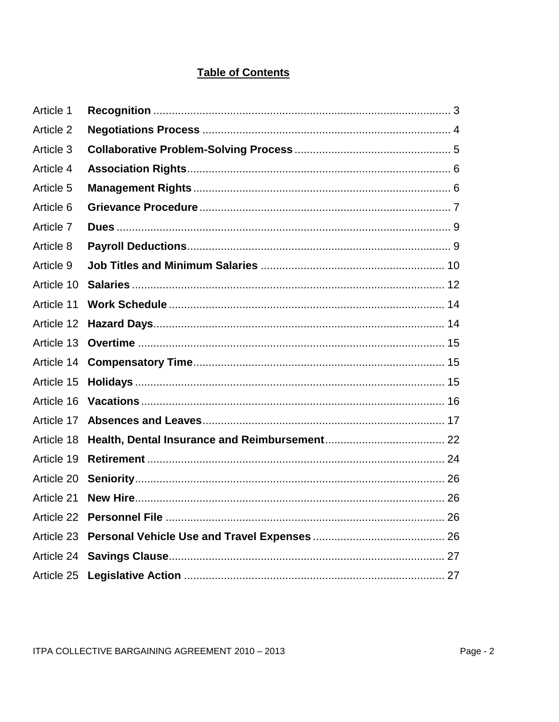# **Table of Contents**

| Article 1  |  |
|------------|--|
| Article 2  |  |
| Article 3  |  |
| Article 4  |  |
| Article 5  |  |
| Article 6  |  |
| Article 7  |  |
| Article 8  |  |
| Article 9  |  |
| Article 10 |  |
| Article 11 |  |
| Article 12 |  |
| Article 13 |  |
| Article 14 |  |
| Article 15 |  |
| Article 16 |  |
| Article 17 |  |
| Article 18 |  |
| Article 19 |  |
| Article 20 |  |
| Article 21 |  |
| Article 22 |  |
| Article 23 |  |
| Article 24 |  |
| Article 25 |  |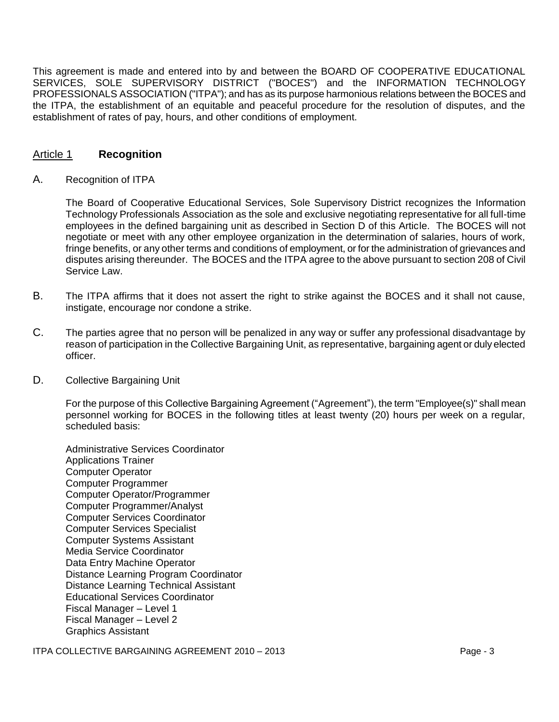This agreement is made and entered into by and between the BOARD OF COOPERATIVE EDUCATIONAL SERVICES, SOLE SUPERVISORY DISTRICT ("BOCES") and the INFORMATION TECHNOLOGY PROFESSIONALS ASSOCIATION ("ITPA"); and has as its purpose harmonious relations between the BOCES and the ITPA, the establishment of an equitable and peaceful procedure for the resolution of disputes, and the establishment of rates of pay, hours, and other conditions of employment.

# Article 1 **Recognition**

### A. Recognition of ITPA

The Board of Cooperative Educational Services, Sole Supervisory District recognizes the Information Technology Professionals Association as the sole and exclusive negotiating representative for all full-time employees in the defined bargaining unit as described in Section D of this Article. The BOCES will not negotiate or meet with any other employee organization in the determination of salaries, hours of work, fringe benefits, or any other terms and conditions of employment, or for the administration of grievances and disputes arising thereunder. The BOCES and the ITPA agree to the above pursuant to section 208 of Civil Service Law.

- B. The ITPA affirms that it does not assert the right to strike against the BOCES and it shall not cause, instigate, encourage nor condone a strike.
- C. The parties agree that no person will be penalized in any way or suffer any professional disadvantage by reason of participation in the Collective Bargaining Unit, as representative, bargaining agent or duly elected officer.

### D. Collective Bargaining Unit

For the purpose of this Collective Bargaining Agreement ("Agreement"), the term "Employee(s)" shall mean personnel working for BOCES in the following titles at least twenty (20) hours per week on a regular, scheduled basis:

Administrative Services Coordinator Applications Trainer Computer Operator Computer Programmer Computer Operator/Programmer Computer Programmer/Analyst Computer Services Coordinator Computer Services Specialist Computer Systems Assistant Media Service Coordinator Data Entry Machine Operator Distance Learning Program Coordinator Distance Learning Technical Assistant Educational Services Coordinator Fiscal Manager – Level 1 Fiscal Manager – Level 2 Graphics Assistant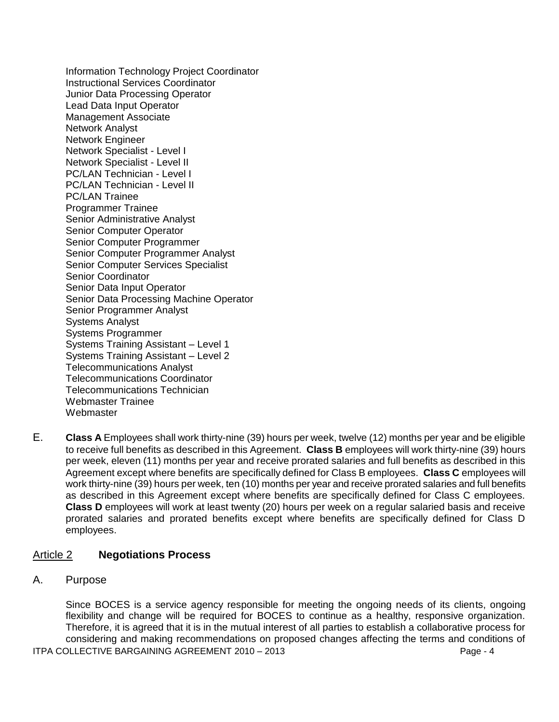Information Technology Project Coordinator Instructional Services Coordinator Junior Data Processing Operator Lead Data Input Operator Management Associate Network Analyst Network Engineer Network Specialist - Level I Network Specialist - Level II PC/LAN Technician - Level I PC/LAN Technician - Level II PC/LAN Trainee Programmer Trainee Senior Administrative Analyst Senior Computer Operator Senior Computer Programmer Senior Computer Programmer Analyst Senior Computer Services Specialist Senior Coordinator Senior Data Input Operator Senior Data Processing Machine Operator Senior Programmer Analyst Systems Analyst Systems Programmer Systems Training Assistant – Level 1 Systems Training Assistant – Level 2 Telecommunications Analyst Telecommunications Coordinator Telecommunications Technician Webmaster Trainee **Webmaster** 

E. **Class A** Employees shall work thirty-nine (39) hours per week, twelve (12) months per year and be eligible to receive full benefits as described in this Agreement. **Class B** employees will work thirty-nine (39) hours per week, eleven (11) months per year and receive prorated salaries and full benefits as described in this Agreement except where benefits are specifically defined for Class B employees. **Class C** employees will work thirty-nine (39) hours per week, ten (10) months per year and receive prorated salaries and full benefits as described in this Agreement except where benefits are specifically defined for Class C employees. **Class D** employees will work at least twenty (20) hours per week on a regular salaried basis and receive prorated salaries and prorated benefits except where benefits are specifically defined for Class D employees.

### Article 2 **Negotiations Process**

A. Purpose

ITPA COLLECTIVE BARGAINING AGREEMENT 2010 – 2013 Page - 4 Since BOCES is a service agency responsible for meeting the ongoing needs of its clients, ongoing flexibility and change will be required for BOCES to continue as a healthy, responsive organization. Therefore, it is agreed that it is in the mutual interest of all parties to establish a collaborative process for considering and making recommendations on proposed changes affecting the terms and conditions of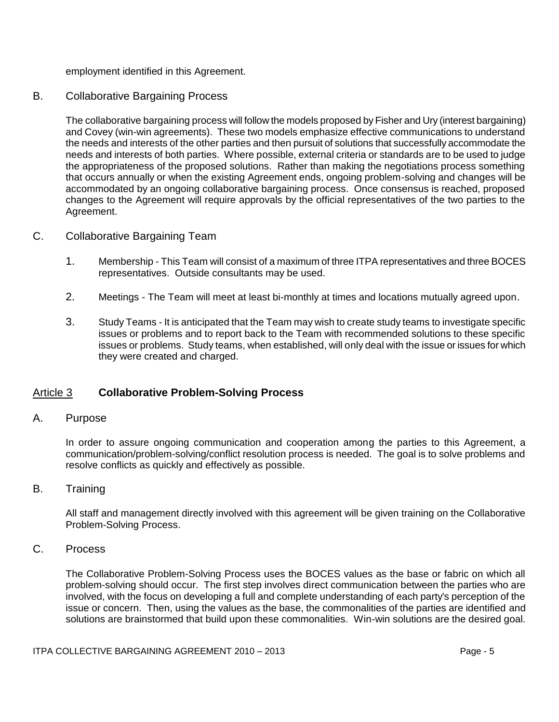employment identified in this Agreement.

## B. Collaborative Bargaining Process

The collaborative bargaining process will follow the models proposed by Fisher and Ury (interest bargaining) and Covey (win-win agreements). These two models emphasize effective communications to understand the needs and interests of the other parties and then pursuit of solutions that successfully accommodate the needs and interests of both parties. Where possible, external criteria or standards are to be used to judge the appropriateness of the proposed solutions. Rather than making the negotiations process something that occurs annually or when the existing Agreement ends, ongoing problem-solving and changes will be accommodated by an ongoing collaborative bargaining process. Once consensus is reached, proposed changes to the Agreement will require approvals by the official representatives of the two parties to the Agreement.

### C. Collaborative Bargaining Team

- 1. Membership This Team will consist of a maximum of three ITPA representatives and three BOCES representatives. Outside consultants may be used.
- 2. Meetings The Team will meet at least bi-monthly at times and locations mutually agreed upon.
- 3. Study Teams It is anticipated that the Team may wish to create study teams to investigate specific issues or problems and to report back to the Team with recommended solutions to these specific issues or problems. Study teams, when established, will only deal with the issue or issues for which they were created and charged.

# Article 3 **Collaborative Problem-Solving Process**

### A. Purpose

In order to assure ongoing communication and cooperation among the parties to this Agreement, a communication/problem-solving/conflict resolution process is needed. The goal is to solve problems and resolve conflicts as quickly and effectively as possible.

### B. Training

All staff and management directly involved with this agreement will be given training on the Collaborative Problem-Solving Process.

## C. Process

The Collaborative Problem-Solving Process uses the BOCES values as the base or fabric on which all problem-solving should occur. The first step involves direct communication between the parties who are involved, with the focus on developing a full and complete understanding of each party's perception of the issue or concern. Then, using the values as the base, the commonalities of the parties are identified and solutions are brainstormed that build upon these commonalities. Win-win solutions are the desired goal.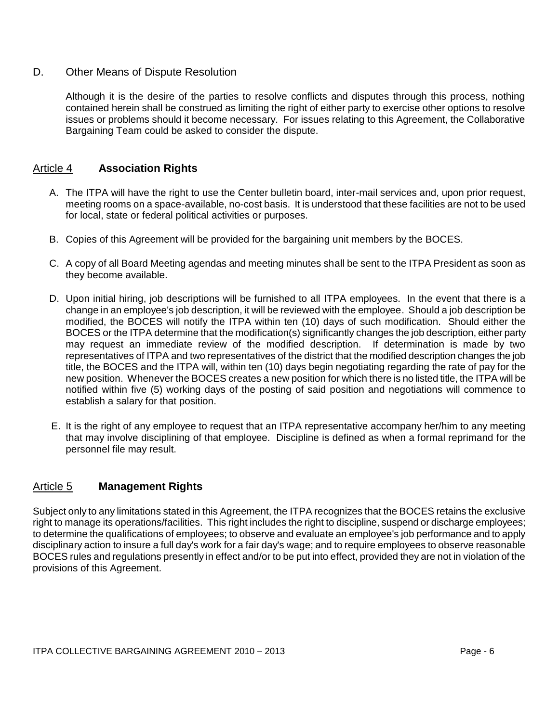## D. Other Means of Dispute Resolution

Although it is the desire of the parties to resolve conflicts and disputes through this process, nothing contained herein shall be construed as limiting the right of either party to exercise other options to resolve issues or problems should it become necessary. For issues relating to this Agreement, the Collaborative Bargaining Team could be asked to consider the dispute.

# Article 4 **Association Rights**

- A. The ITPA will have the right to use the Center bulletin board, inter-mail services and, upon prior request, meeting rooms on a space-available, no-cost basis. It is understood that these facilities are not to be used for local, state or federal political activities or purposes.
- B. Copies of this Agreement will be provided for the bargaining unit members by the BOCES.
- C. A copy of all Board Meeting agendas and meeting minutes shall be sent to the ITPA President as soon as they become available.
- D. Upon initial hiring, job descriptions will be furnished to all ITPA employees. In the event that there is a change in an employee's job description, it will be reviewed with the employee. Should a job description be modified, the BOCES will notify the ITPA within ten (10) days of such modification. Should either the BOCES or the ITPA determine that the modification(s) significantly changes the job description, either party may request an immediate review of the modified description. If determination is made by two representatives of ITPA and two representatives of the district that the modified description changes the job title, the BOCES and the ITPA will, within ten (10) days begin negotiating regarding the rate of pay for the new position. Whenever the BOCES creates a new position for which there is no listed title, the ITPA will be notified within five (5) working days of the posting of said position and negotiations will commence to establish a salary for that position.
- E. It is the right of any employee to request that an ITPA representative accompany her/him to any meeting that may involve disciplining of that employee. Discipline is defined as when a formal reprimand for the personnel file may result.

# Article 5 **Management Rights**

Subject only to any limitations stated in this Agreement, the ITPA recognizes that the BOCES retains the exclusive right to manage its operations/facilities. This right includes the right to discipline, suspend or discharge employees; to determine the qualifications of employees; to observe and evaluate an employee's job performance and to apply disciplinary action to insure a full day's work for a fair day's wage; and to require employees to observe reasonable BOCES rules and regulations presently in effect and/or to be put into effect, provided they are not in violation of the provisions of this Agreement.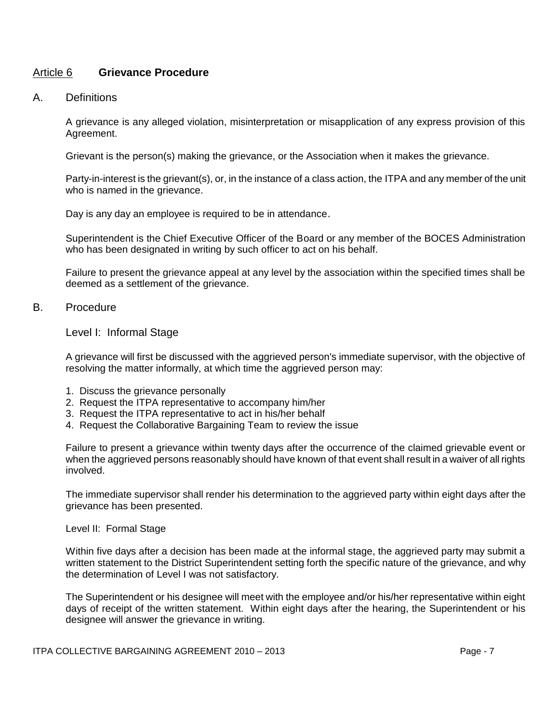### Article 6 **Grievance Procedure**

### A. Definitions

A grievance is any alleged violation, misinterpretation or misapplication of any express provision of this Agreement.

Grievant is the person(s) making the grievance, or the Association when it makes the grievance.

Party-in-interest is the grievant(s), or, in the instance of a class action, the ITPA and any member of the unit who is named in the grievance.

Day is any day an employee is required to be in attendance.

Superintendent is the Chief Executive Officer of the Board or any member of the BOCES Administration who has been designated in writing by such officer to act on his behalf.

Failure to present the grievance appeal at any level by the association within the specified times shall be deemed as a settlement of the grievance.

### B. Procedure

### Level I: Informal Stage

A grievance will first be discussed with the aggrieved person's immediate supervisor, with the objective of resolving the matter informally, at which time the aggrieved person may:

- 1. Discuss the grievance personally
- 2. Request the ITPA representative to accompany him/her
- 3. Request the ITPA representative to act in his/her behalf
- 4. Request the Collaborative Bargaining Team to review the issue

Failure to present a grievance within twenty days after the occurrence of the claimed grievable event or when the aggrieved persons reasonably should have known of that event shall result in a waiver of all rights involved.

The immediate supervisor shall render his determination to the aggrieved party within eight days after the grievance has been presented.

### Level II: Formal Stage

Within five days after a decision has been made at the informal stage, the aggrieved party may submit a written statement to the District Superintendent setting forth the specific nature of the grievance, and why the determination of Level I was not satisfactory.

The Superintendent or his designee will meet with the employee and/or his/her representative within eight days of receipt of the written statement. Within eight days after the hearing, the Superintendent or his designee will answer the grievance in writing.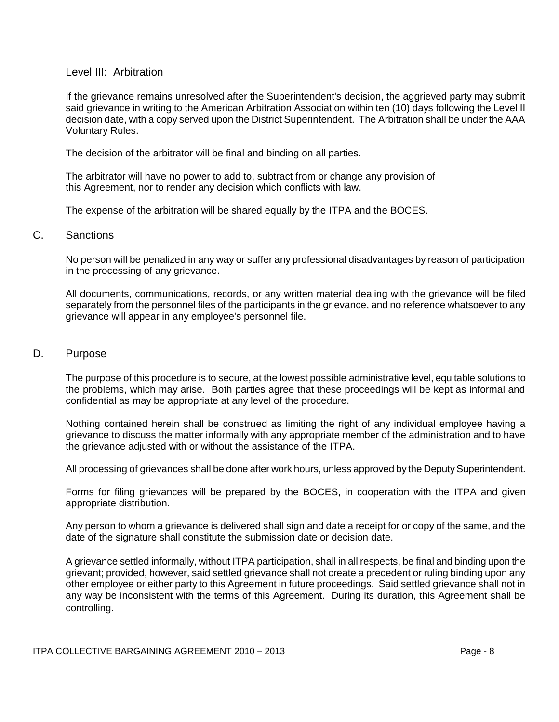### Level III: Arbitration

If the grievance remains unresolved after the Superintendent's decision, the aggrieved party may submit said grievance in writing to the American Arbitration Association within ten (10) days following the Level II decision date, with a copy served upon the District Superintendent. The Arbitration shall be under the AAA Voluntary Rules.

The decision of the arbitrator will be final and binding on all parties.

The arbitrator will have no power to add to, subtract from or change any provision of this Agreement, nor to render any decision which conflicts with law.

The expense of the arbitration will be shared equally by the ITPA and the BOCES.

### C. Sanctions

No person will be penalized in any way or suffer any professional disadvantages by reason of participation in the processing of any grievance.

All documents, communications, records, or any written material dealing with the grievance will be filed separately from the personnel files of the participants in the grievance, and no reference whatsoever to any grievance will appear in any employee's personnel file.

### D. Purpose

The purpose of this procedure is to secure, at the lowest possible administrative level, equitable solutions to the problems, which may arise. Both parties agree that these proceedings will be kept as informal and confidential as may be appropriate at any level of the procedure.

Nothing contained herein shall be construed as limiting the right of any individual employee having a grievance to discuss the matter informally with any appropriate member of the administration and to have the grievance adjusted with or without the assistance of the ITPA.

All processing of grievances shall be done after work hours, unless approved by the Deputy Superintendent.

Forms for filing grievances will be prepared by the BOCES, in cooperation with the ITPA and given appropriate distribution.

Any person to whom a grievance is delivered shall sign and date a receipt for or copy of the same, and the date of the signature shall constitute the submission date or decision date.

A grievance settled informally, without ITPA participation, shall in all respects, be final and binding upon the grievant; provided, however, said settled grievance shall not create a precedent or ruling binding upon any other employee or either party to this Agreement in future proceedings. Said settled grievance shall not in any way be inconsistent with the terms of this Agreement. During its duration, this Agreement shall be controlling.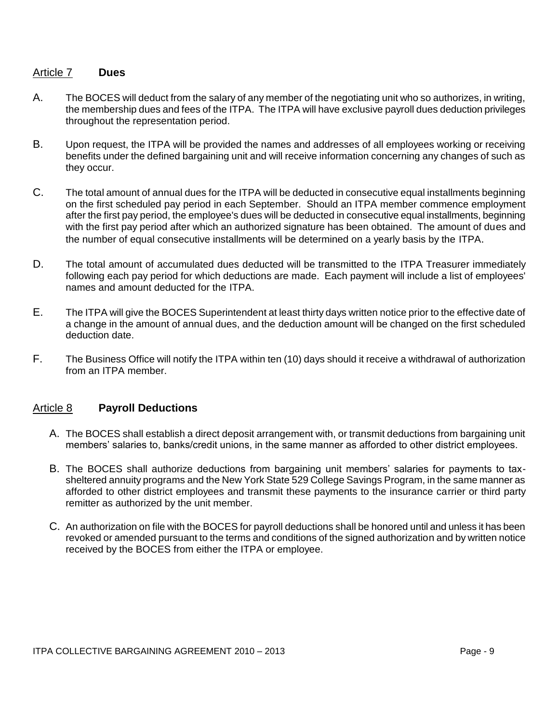### Article 7 **Dues**

- A. The BOCES will deduct from the salary of any member of the negotiating unit who so authorizes, in writing, the membership dues and fees of the ITPA. The ITPA will have exclusive payroll dues deduction privileges throughout the representation period.
- B. Upon request, the ITPA will be provided the names and addresses of all employees working or receiving benefits under the defined bargaining unit and will receive information concerning any changes of such as they occur.
- C. The total amount of annual dues for the ITPA will be deducted in consecutive equal installments beginning on the first scheduled pay period in each September. Should an ITPA member commence employment after the first pay period, the employee's dues will be deducted in consecutive equal installments, beginning with the first pay period after which an authorized signature has been obtained. The amount of dues and the number of equal consecutive installments will be determined on a yearly basis by the ITPA.
- D. The total amount of accumulated dues deducted will be transmitted to the ITPA Treasurer immediately following each pay period for which deductions are made. Each payment will include a list of employees' names and amount deducted for the ITPA.
- E. The ITPA will give the BOCES Superintendent at least thirty days written notice prior to the effective date of a change in the amount of annual dues, and the deduction amount will be changed on the first scheduled deduction date.
- F. The Business Office will notify the ITPA within ten (10) days should it receive a withdrawal of authorization from an ITPA member.

# Article 8 **Payroll Deductions**

- A. The BOCES shall establish a direct deposit arrangement with, or transmit deductions from bargaining unit members' salaries to, banks/credit unions, in the same manner as afforded to other district employees.
- B. The BOCES shall authorize deductions from bargaining unit members' salaries for payments to taxsheltered annuity programs and the New York State 529 College Savings Program, in the same manner as afforded to other district employees and transmit these payments to the insurance carrier or third party remitter as authorized by the unit member.
- C. An authorization on file with the BOCES for payroll deductions shall be honored until and unless it has been revoked or amended pursuant to the terms and conditions of the signed authorization and by written notice received by the BOCES from either the ITPA or employee.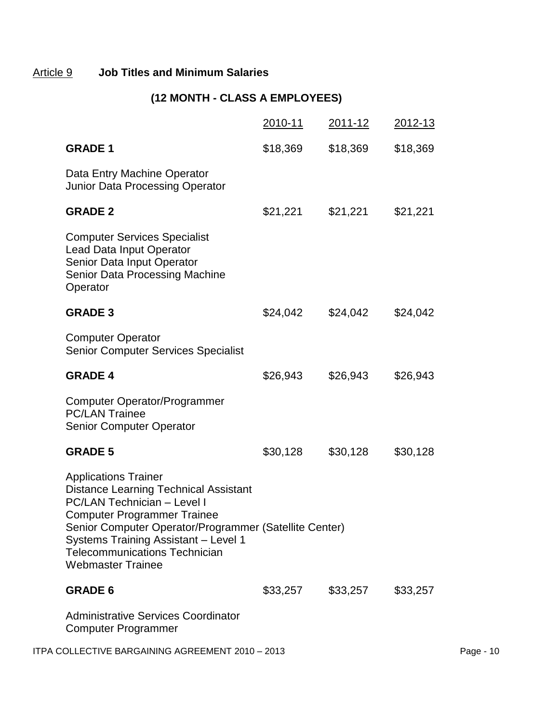# Article 9 **Job Titles and Minimum Salaries**

# **(12 MONTH - CLASS A EMPLOYEES)**

|                                                                                                                                                                                                                                                                                                                               | 2010-11  | 2011-12  | 2012-13  |           |
|-------------------------------------------------------------------------------------------------------------------------------------------------------------------------------------------------------------------------------------------------------------------------------------------------------------------------------|----------|----------|----------|-----------|
| <b>GRADE 1</b>                                                                                                                                                                                                                                                                                                                | \$18,369 | \$18,369 | \$18,369 |           |
| Data Entry Machine Operator<br>Junior Data Processing Operator                                                                                                                                                                                                                                                                |          |          |          |           |
| <b>GRADE 2</b>                                                                                                                                                                                                                                                                                                                | \$21,221 | \$21,221 | \$21,221 |           |
| <b>Computer Services Specialist</b><br><b>Lead Data Input Operator</b><br>Senior Data Input Operator<br><b>Senior Data Processing Machine</b><br>Operator                                                                                                                                                                     |          |          |          |           |
| <b>GRADE 3</b>                                                                                                                                                                                                                                                                                                                | \$24,042 | \$24,042 | \$24,042 |           |
| <b>Computer Operator</b><br><b>Senior Computer Services Specialist</b>                                                                                                                                                                                                                                                        |          |          |          |           |
| <b>GRADE 4</b>                                                                                                                                                                                                                                                                                                                | \$26,943 | \$26,943 | \$26,943 |           |
| <b>Computer Operator/Programmer</b><br><b>PC/LAN Trainee</b><br><b>Senior Computer Operator</b>                                                                                                                                                                                                                               |          |          |          |           |
| <b>GRADE 5</b>                                                                                                                                                                                                                                                                                                                | \$30,128 | \$30,128 | \$30,128 |           |
| <b>Applications Trainer</b><br><b>Distance Learning Technical Assistant</b><br><b>PC/LAN Technician - Level I</b><br><b>Computer Programmer Trainee</b><br>Senior Computer Operator/Programmer (Satellite Center)<br>Systems Training Assistant - Level 1<br><b>Telecommunications Technician</b><br><b>Webmaster Trainee</b> |          |          |          |           |
| <b>GRADE 6</b>                                                                                                                                                                                                                                                                                                                | \$33,257 | \$33,257 | \$33,257 |           |
| Administrative Services Coordinator<br><b>Computer Programmer</b>                                                                                                                                                                                                                                                             |          |          |          |           |
| ITPA COLLECTIVE BARGAINING AGREEMENT 2010 - 2013                                                                                                                                                                                                                                                                              |          |          |          | Page - 10 |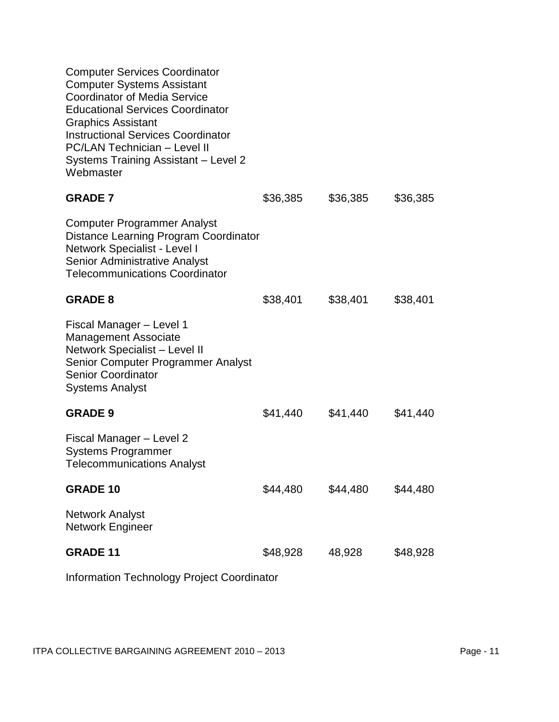| <b>Computer Services Coordinator</b><br><b>Computer Systems Assistant</b><br><b>Coordinator of Media Service</b><br><b>Educational Services Coordinator</b><br><b>Graphics Assistant</b><br><b>Instructional Services Coordinator</b><br><b>PC/LAN Technician - Level II</b><br>Systems Training Assistant - Level 2<br>Webmaster |          |          |          |
|-----------------------------------------------------------------------------------------------------------------------------------------------------------------------------------------------------------------------------------------------------------------------------------------------------------------------------------|----------|----------|----------|
| <b>GRADE 7</b>                                                                                                                                                                                                                                                                                                                    | \$36,385 | \$36,385 | \$36,385 |
| Computer Programmer Analyst<br>Distance Learning Program Coordinator<br>Network Specialist - Level I<br>Senior Administrative Analyst<br><b>Telecommunications Coordinator</b>                                                                                                                                                    |          |          |          |
| <b>GRADE 8</b>                                                                                                                                                                                                                                                                                                                    | \$38,401 | \$38,401 | \$38,401 |
| Fiscal Manager - Level 1<br><b>Management Associate</b><br>Network Specialist - Level II<br>Senior Computer Programmer Analyst<br><b>Senior Coordinator</b><br><b>Systems Analyst</b>                                                                                                                                             |          |          |          |
| <b>GRADE 9</b>                                                                                                                                                                                                                                                                                                                    | \$41,440 | \$41,440 | \$41,440 |
| Fiscal Manager - Level 2<br><b>Systems Programmer</b><br><b>Telecommunications Analyst</b>                                                                                                                                                                                                                                        |          |          |          |
| <b>GRADE 10</b>                                                                                                                                                                                                                                                                                                                   | \$44,480 | \$44,480 | \$44,480 |
| <b>Network Analyst</b><br>Network Engineer                                                                                                                                                                                                                                                                                        |          |          |          |
| <b>GRADE 11</b>                                                                                                                                                                                                                                                                                                                   | \$48,928 | 48,928   | \$48,928 |
|                                                                                                                                                                                                                                                                                                                                   |          |          |          |

Information Technology Project Coordinator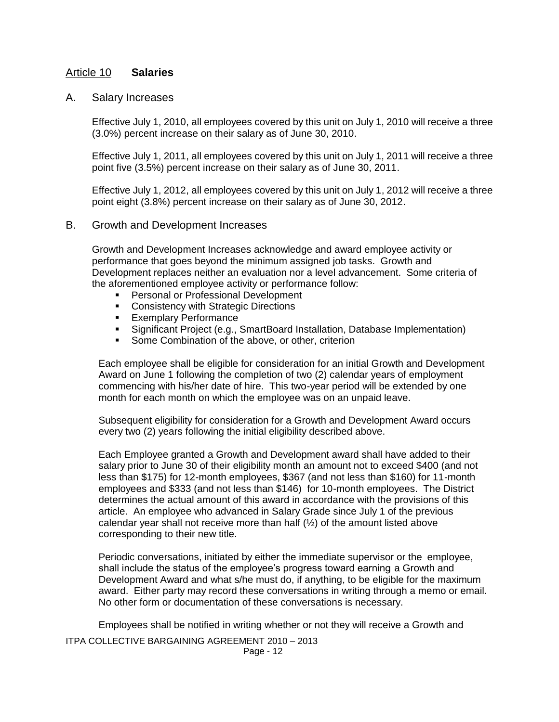## Article 10 **Salaries**

### A. Salary Increases

Effective July 1, 2010, all employees covered by this unit on July 1, 2010 will receive a three (3.0%) percent increase on their salary as of June 30, 2010.

Effective July 1, 2011, all employees covered by this unit on July 1, 2011 will receive a three point five (3.5%) percent increase on their salary as of June 30, 2011.

Effective July 1, 2012, all employees covered by this unit on July 1, 2012 will receive a three point eight (3.8%) percent increase on their salary as of June 30, 2012.

### B. Growth and Development Increases

Growth and Development Increases acknowledge and award employee activity or performance that goes beyond the minimum assigned job tasks. Growth and Development replaces neither an evaluation nor a level advancement. Some criteria of the aforementioned employee activity or performance follow:

- **Personal or Professional Development**
- **Consistency with Strategic Directions**
- **Exemplary Performance**
- Significant Project (e.g., SmartBoard Installation, Database Implementation)
- **Some Combination of the above, or other, criterion**

Each employee shall be eligible for consideration for an initial Growth and Development Award on June 1 following the completion of two (2) calendar years of employment commencing with his/her date of hire. This two-year period will be extended by one month for each month on which the employee was on an unpaid leave.

Subsequent eligibility for consideration for a Growth and Development Award occurs every two (2) years following the initial eligibility described above.

Each Employee granted a Growth and Development award shall have added to their salary prior to June 30 of their eligibility month an amount not to exceed \$400 (and not less than \$175) for 12-month employees, \$367 (and not less than \$160) for 11-month employees and \$333 (and not less than \$146) for 10-month employees. The District determines the actual amount of this award in accordance with the provisions of this article. An employee who advanced in Salary Grade since July 1 of the previous calendar year shall not receive more than half  $(1/2)$  of the amount listed above corresponding to their new title.

Periodic conversations, initiated by either the immediate supervisor or the employee, shall include the status of the employee's progress toward earning a Growth and Development Award and what s/he must do, if anything, to be eligible for the maximum award. Either party may record these conversations in writing through a memo or email. No other form or documentation of these conversations is necessary.

Employees shall be notified in writing whether or not they will receive a Growth and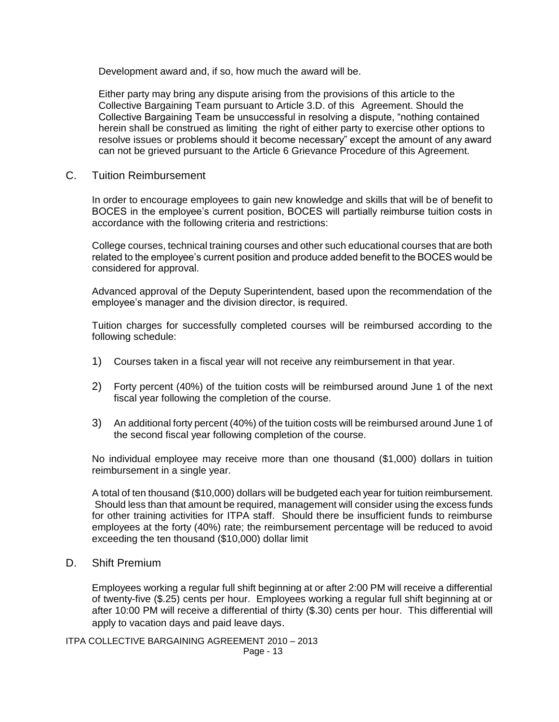Development award and, if so, how much the award will be.

Either party may bring any dispute arising from the provisions of this article to the Collective Bargaining Team pursuant to Article 3.D. of this Agreement. Should the Collective Bargaining Team be unsuccessful in resolving a dispute, "nothing contained herein shall be construed as limiting the right of either party to exercise other options to resolve issues or problems should it become necessary" except the amount of any award can not be grieved pursuant to the Article 6 Grievance Procedure of this Agreement.

C. Tuition Reimbursement

In order to encourage employees to gain new knowledge and skills that will be of benefit to BOCES in the employee's current position, BOCES will partially reimburse tuition costs in accordance with the following criteria and restrictions:

College courses, technical training courses and other such educational courses that are both related to the employee's current position and produce added benefit to the BOCES would be considered for approval.

Advanced approval of the Deputy Superintendent, based upon the recommendation of the employee's manager and the division director, is required.

Tuition charges for successfully completed courses will be reimbursed according to the following schedule:

- 1) Courses taken in a fiscal year will not receive any reimbursement in that year.
- 2) Forty percent (40%) of the tuition costs will be reimbursed around June 1 of the next fiscal year following the completion of the course.
- 3) An additional forty percent (40%) of the tuition costs will be reimbursed around June 1 of the second fiscal year following completion of the course.

No individual employee may receive more than one thousand (\$1,000) dollars in tuition reimbursement in a single year.

A total of ten thousand (\$10,000) dollars will be budgeted each year for tuition reimbursement. Should less than that amount be required, management will consider using the excess funds for other training activities for ITPA staff. Should there be insufficient funds to reimburse employees at the forty (40%) rate; the reimbursement percentage will be reduced to avoid exceeding the ten thousand (\$10,000) dollar limit

D. Shift Premium

Employees working a regular full shift beginning at or after 2:00 PM will receive a differential of twenty-five (\$.25) cents per hour. Employees working a regular full shift beginning at or after 10:00 PM will receive a differential of thirty (\$.30) cents per hour. This differential will apply to vacation days and paid leave days.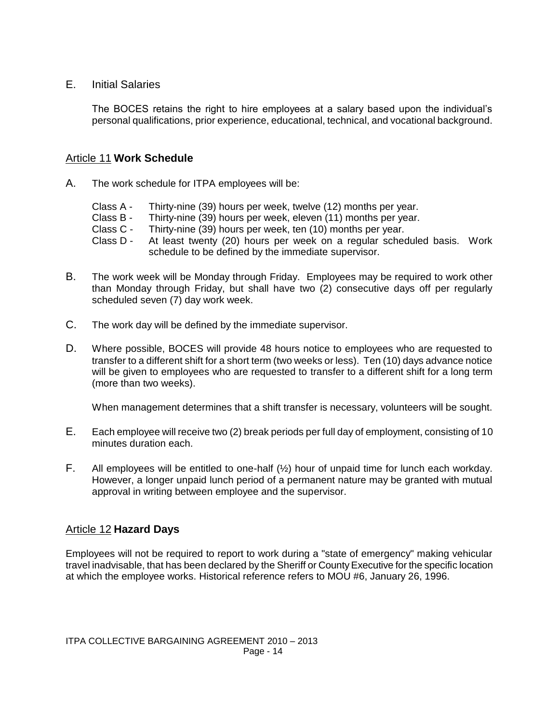E. Initial Salaries

The BOCES retains the right to hire employees at a salary based upon the individual's personal qualifications, prior experience, educational, technical, and vocational background.

# Article 11 **Work Schedule**

- A. The work schedule for ITPA employees will be:
	- Class A Thirty-nine (39) hours per week, twelve (12) months per year.
	- Class B Thirty-nine (39) hours per week, eleven (11) months per year.
	- Class C Thirty-nine (39) hours per week, ten (10) months per year.
	- Class D At least twenty (20) hours per week on a regular scheduled basis. Work schedule to be defined by the immediate supervisor.
- B. The work week will be Monday through Friday. Employees may be required to work other than Monday through Friday, but shall have two (2) consecutive days off per regularly scheduled seven (7) day work week.
- C. The work day will be defined by the immediate supervisor.
- D. Where possible, BOCES will provide 48 hours notice to employees who are requested to transfer to a different shift for a short term (two weeks or less). Ten (10) days advance notice will be given to employees who are requested to transfer to a different shift for a long term (more than two weeks).

When management determines that a shift transfer is necessary, volunteers will be sought.

- E. Each employee will receive two (2) break periods per full day of employment, consisting of 10 minutes duration each.
- F. All employees will be entitled to one-half  $(\frac{1}{2})$  hour of unpaid time for lunch each workday. However, a longer unpaid lunch period of a permanent nature may be granted with mutual approval in writing between employee and the supervisor.

# Article 12 **Hazard Days**

Employees will not be required to report to work during a "state of emergency" making vehicular travel inadvisable, that has been declared by the Sheriff or County Executive for the specific location at which the employee works. Historical reference refers to MOU #6, January 26, 1996.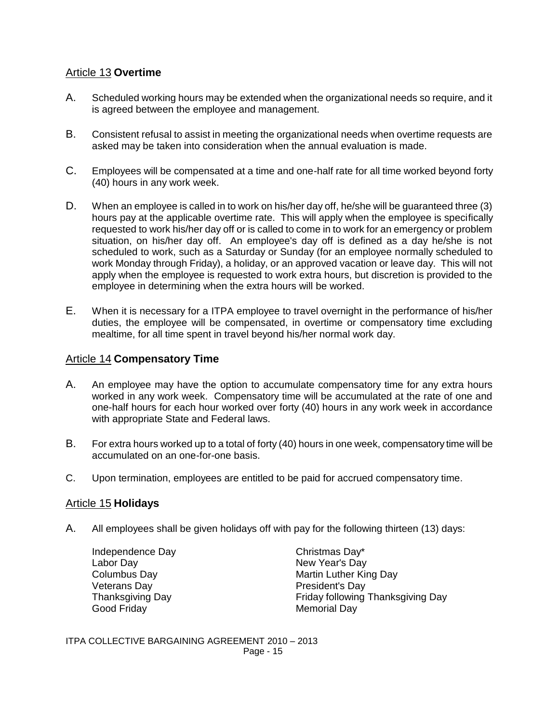# Article 13 **Overtime**

- A. Scheduled working hours may be extended when the organizational needs so require, and it is agreed between the employee and management.
- B. Consistent refusal to assist in meeting the organizational needs when overtime requests are asked may be taken into consideration when the annual evaluation is made.
- C. Employees will be compensated at a time and one-half rate for all time worked beyond forty (40) hours in any work week.
- D. When an employee is called in to work on his/her day off, he/she will be guaranteed three (3) hours pay at the applicable overtime rate. This will apply when the employee is specifically requested to work his/her day off or is called to come in to work for an emergency or problem situation, on his/her day off. An employee's day off is defined as a day he/she is not scheduled to work, such as a Saturday or Sunday (for an employee normally scheduled to work Monday through Friday), a holiday, or an approved vacation or leave day. This will not apply when the employee is requested to work extra hours, but discretion is provided to the employee in determining when the extra hours will be worked.
- E. When it is necessary for a ITPA employee to travel overnight in the performance of his/her duties, the employee will be compensated, in overtime or compensatory time excluding mealtime, for all time spent in travel beyond his/her normal work day.

## Article 14 **Compensatory Time**

- A. An employee may have the option to accumulate compensatory time for any extra hours worked in any work week. Compensatory time will be accumulated at the rate of one and one-half hours for each hour worked over forty (40) hours in any work week in accordance with appropriate State and Federal laws.
- B. For extra hours worked up to a total of forty (40) hours in one week, compensatory time will be accumulated on an one-for-one basis.
- C. Upon termination, employees are entitled to be paid for accrued compensatory time.

# Article 15 **Holidays**

A. All employees shall be given holidays off with pay for the following thirteen (13) days:

| Independence Day        |
|-------------------------|
| Labor Day               |
| <b>Columbus Day</b>     |
| <b>Veterans Day</b>     |
| <b>Thanksgiving Day</b> |
| Good Friday             |

Christmas Day\* New Year's Day Martin Luther King Day President's Day Friday following Thanksgiving Day Memorial Day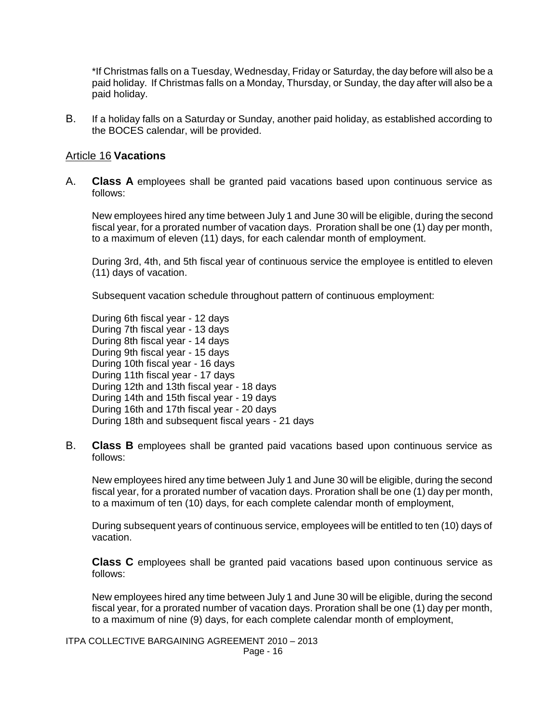\*If Christmas falls on a Tuesday, Wednesday, Friday or Saturday, the day before will also be a paid holiday. If Christmas falls on a Monday, Thursday, or Sunday, the day after will also be a paid holiday.

B. If a holiday falls on a Saturday or Sunday, another paid holiday, as established according to the BOCES calendar, will be provided.

### Article 16 **Vacations**

A. **Class A** employees shall be granted paid vacations based upon continuous service as follows:

New employees hired any time between July 1 and June 30 will be eligible, during the second fiscal year, for a prorated number of vacation days. Proration shall be one (1) day per month, to a maximum of eleven (11) days, for each calendar month of employment.

During 3rd, 4th, and 5th fiscal year of continuous service the employee is entitled to eleven (11) days of vacation.

Subsequent vacation schedule throughout pattern of continuous employment:

During 6th fiscal year - 12 days During 7th fiscal year - 13 days During 8th fiscal year - 14 days During 9th fiscal year - 15 days During 10th fiscal year - 16 days During 11th fiscal year - 17 days During 12th and 13th fiscal year - 18 days During 14th and 15th fiscal year - 19 days During 16th and 17th fiscal year - 20 days During 18th and subsequent fiscal years - 21 days

B. **Class B** employees shall be granted paid vacations based upon continuous service as follows:

New employees hired any time between July 1 and June 30 will be eligible, during the second fiscal year, for a prorated number of vacation days. Proration shall be one (1) day per month, to a maximum of ten (10) days, for each complete calendar month of employment,

During subsequent years of continuous service, employees will be entitled to ten (10) days of vacation.

**Class C** employees shall be granted paid vacations based upon continuous service as follows:

New employees hired any time between July 1 and June 30 will be eligible, during the second fiscal year, for a prorated number of vacation days. Proration shall be one (1) day per month, to a maximum of nine (9) days, for each complete calendar month of employment,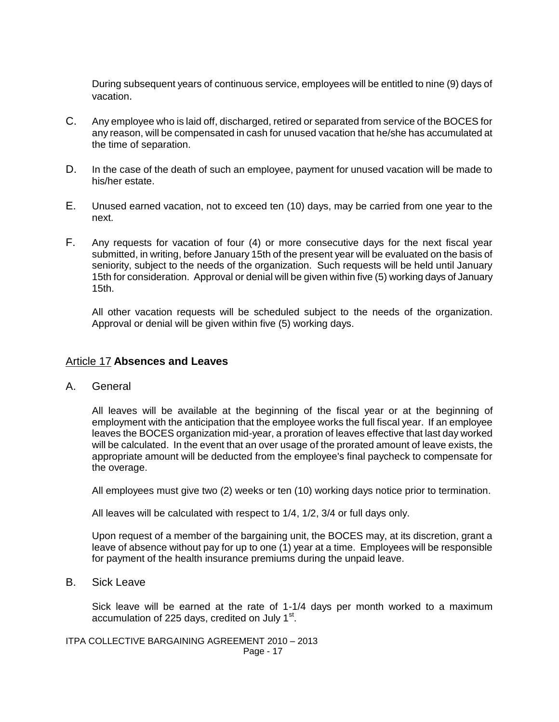During subsequent years of continuous service, employees will be entitled to nine (9) days of vacation.

- C. Any employee who is laid off, discharged, retired or separated from service of the BOCES for any reason, will be compensated in cash for unused vacation that he/she has accumulated at the time of separation.
- D. In the case of the death of such an employee, payment for unused vacation will be made to his/her estate.
- E. Unused earned vacation, not to exceed ten (10) days, may be carried from one year to the next.
- F. Any requests for vacation of four (4) or more consecutive days for the next fiscal year submitted, in writing, before January 15th of the present year will be evaluated on the basis of seniority, subject to the needs of the organization. Such requests will be held until January 15th for consideration. Approval or denial will be given within five (5) working days of January 15th.

All other vacation requests will be scheduled subject to the needs of the organization. Approval or denial will be given within five (5) working days.

### Article 17 **Absences and Leaves**

A. General

All leaves will be available at the beginning of the fiscal year or at the beginning of employment with the anticipation that the employee works the full fiscal year. If an employee leaves the BOCES organization mid-year, a proration of leaves effective that last day worked will be calculated. In the event that an over usage of the prorated amount of leave exists, the appropriate amount will be deducted from the employee's final paycheck to compensate for the overage.

All employees must give two (2) weeks or ten (10) working days notice prior to termination.

All leaves will be calculated with respect to 1/4, 1/2, 3/4 or full days only.

Upon request of a member of the bargaining unit, the BOCES may, at its discretion, grant a leave of absence without pay for up to one (1) year at a time. Employees will be responsible for payment of the health insurance premiums during the unpaid leave.

B. Sick Leave

Sick leave will be earned at the rate of 1-1/4 days per month worked to a maximum accumulation of 225 days, credited on July 1 $^{\rm st}$ .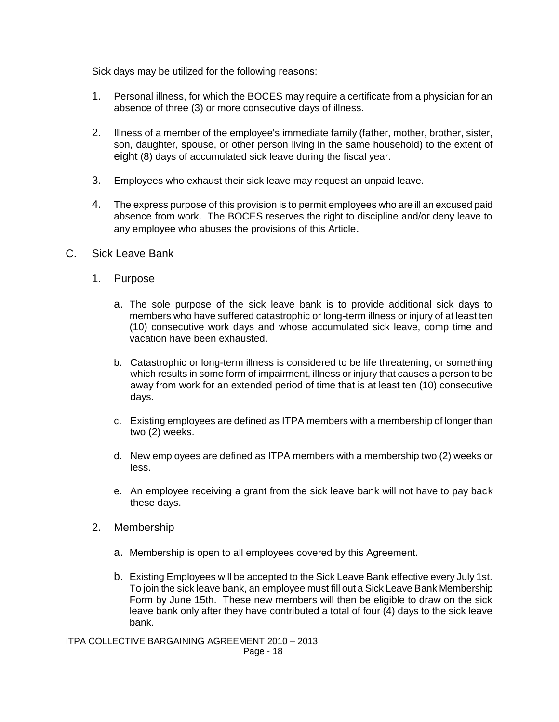Sick days may be utilized for the following reasons:

- 1. Personal illness, for which the BOCES may require a certificate from a physician for an absence of three (3) or more consecutive days of illness.
- 2. Illness of a member of the employee's immediate family (father, mother, brother, sister, son, daughter, spouse, or other person living in the same household) to the extent of eight (8) days of accumulated sick leave during the fiscal year.
- 3. Employees who exhaust their sick leave may request an unpaid leave.
- 4. The express purpose of this provision is to permit employees who are ill an excused paid absence from work. The BOCES reserves the right to discipline and/or deny leave to any employee who abuses the provisions of this Article.
- C. Sick Leave Bank
	- 1. Purpose
		- a. The sole purpose of the sick leave bank is to provide additional sick days to members who have suffered catastrophic or long-term illness or injury of at least ten (10) consecutive work days and whose accumulated sick leave, comp time and vacation have been exhausted.
		- b. Catastrophic or long-term illness is considered to be life threatening, or something which results in some form of impairment, illness or injury that causes a person to be away from work for an extended period of time that is at least ten (10) consecutive days.
		- c. Existing employees are defined as ITPA members with a membership of longer than two (2) weeks.
		- d. New employees are defined as ITPA members with a membership two (2) weeks or less.
		- e. An employee receiving a grant from the sick leave bank will not have to pay back these days.
	- 2. Membership
		- a. Membership is open to all employees covered by this Agreement.
		- b. Existing Employees will be accepted to the Sick Leave Bank effective every July 1st. To join the sick leave bank, an employee must fill out a Sick Leave Bank Membership Form by June 15th. These new members will then be eligible to draw on the sick leave bank only after they have contributed a total of four (4) days to the sick leave bank.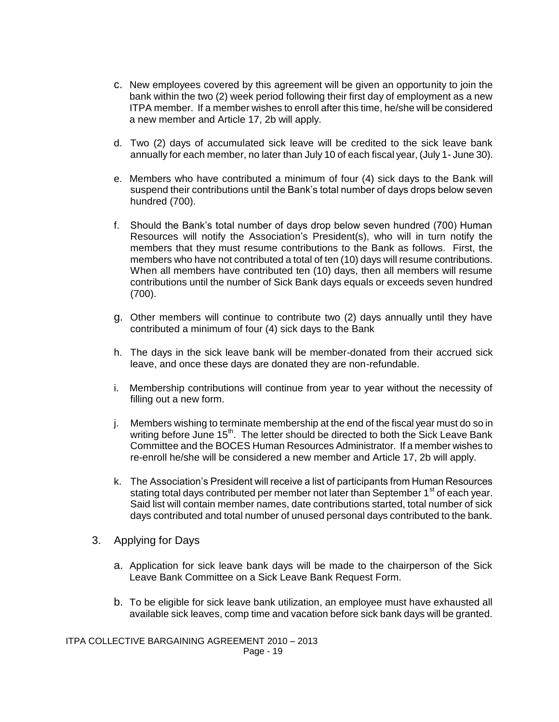- c. New employees covered by this agreement will be given an opportunity to join the bank within the two (2) week period following their first day of employment as a new ITPA member. If a member wishes to enroll after this time, he/she will be considered a new member and Article 17, 2b will apply.
- d. Two (2) days of accumulated sick leave will be credited to the sick leave bank annually for each member, no later than July 10 of each fiscal year, (July 1- June 30).
- e. Members who have contributed a minimum of four (4) sick days to the Bank will suspend their contributions until the Bank's total number of days drops below seven hundred (700).
- f. Should the Bank's total number of days drop below seven hundred (700) Human Resources will notify the Association's President(s), who will in turn notify the members that they must resume contributions to the Bank as follows. First, the members who have not contributed a total of ten (10) days will resume contributions. When all members have contributed ten (10) days, then all members will resume contributions until the number of Sick Bank days equals or exceeds seven hundred (700).
- g. Other members will continue to contribute two (2) days annually until they have contributed a minimum of four (4) sick days to the Bank
- h. The days in the sick leave bank will be member-donated from their accrued sick leave, and once these days are donated they are non-refundable.
- i. Membership contributions will continue from year to year without the necessity of filling out a new form.
- j. Members wishing to terminate membership at the end of the fiscal year must do so in writing before June  $15<sup>th</sup>$ . The letter should be directed to both the Sick Leave Bank Committee and the BOCES Human Resources Administrator. If a member wishes to re-enroll he/she will be considered a new member and Article 17, 2b will apply.
- k. The Association's President will receive a list of participants from Human Resources stating total days contributed per member not later than September 1<sup>st</sup> of each year. Said list will contain member names, date contributions started, total number of sick days contributed and total number of unused personal days contributed to the bank.
- 3. Applying for Days
	- a. Application for sick leave bank days will be made to the chairperson of the Sick Leave Bank Committee on a Sick Leave Bank Request Form.
	- b. To be eligible for sick leave bank utilization, an employee must have exhausted all available sick leaves, comp time and vacation before sick bank days will be granted.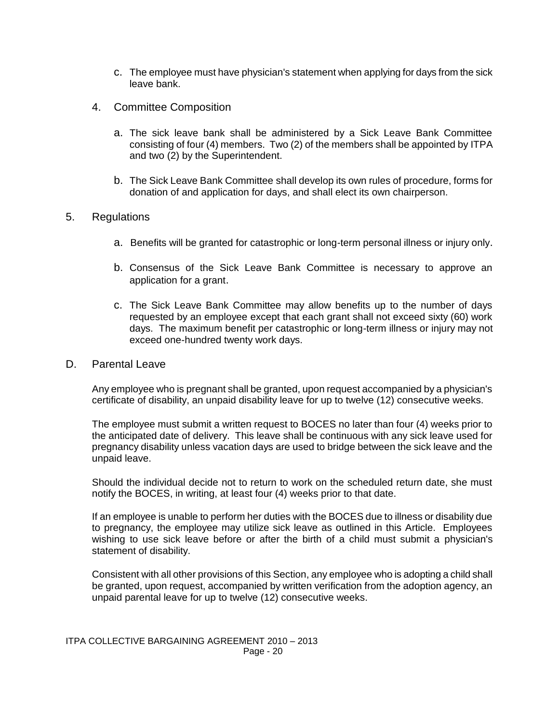- c. The employee must have physician's statement when applying for days from the sick leave bank.
- 4. Committee Composition
	- a. The sick leave bank shall be administered by a Sick Leave Bank Committee consisting of four (4) members. Two (2) of the members shall be appointed by ITPA and two (2) by the Superintendent.
	- b. The Sick Leave Bank Committee shall develop its own rules of procedure, forms for donation of and application for days, and shall elect its own chairperson.

### 5. Regulations

- a. Benefits will be granted for catastrophic or long-term personal illness or injury only.
- b. Consensus of the Sick Leave Bank Committee is necessary to approve an application for a grant.
- c. The Sick Leave Bank Committee may allow benefits up to the number of days requested by an employee except that each grant shall not exceed sixty (60) work days. The maximum benefit per catastrophic or long-term illness or injury may not exceed one-hundred twenty work days.

### D. Parental Leave

Any employee who is pregnant shall be granted, upon request accompanied by a physician's certificate of disability, an unpaid disability leave for up to twelve (12) consecutive weeks.

The employee must submit a written request to BOCES no later than four (4) weeks prior to the anticipated date of delivery. This leave shall be continuous with any sick leave used for pregnancy disability unless vacation days are used to bridge between the sick leave and the unpaid leave.

Should the individual decide not to return to work on the scheduled return date, she must notify the BOCES, in writing, at least four (4) weeks prior to that date.

If an employee is unable to perform her duties with the BOCES due to illness or disability due to pregnancy, the employee may utilize sick leave as outlined in this Article. Employees wishing to use sick leave before or after the birth of a child must submit a physician's statement of disability.

Consistent with all other provisions of this Section, any employee who is adopting a child shall be granted, upon request, accompanied by written verification from the adoption agency, an unpaid parental leave for up to twelve (12) consecutive weeks.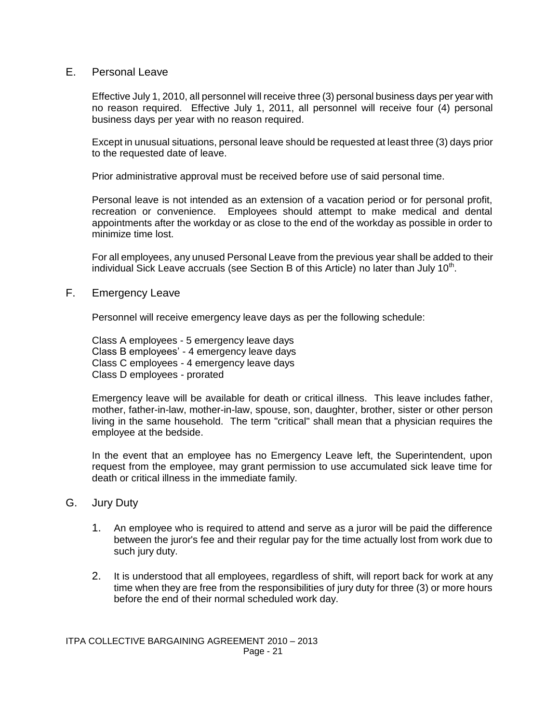## E. Personal Leave

Effective July 1, 2010, all personnel will receive three (3) personal business days per year with no reason required. Effective July 1, 2011, all personnel will receive four (4) personal business days per year with no reason required.

Except in unusual situations, personal leave should be requested at least three (3) days prior to the requested date of leave.

Prior administrative approval must be received before use of said personal time.

Personal leave is not intended as an extension of a vacation period or for personal profit, recreation or convenience. Employees should attempt to make medical and dental appointments after the workday or as close to the end of the workday as possible in order to minimize time lost.

For all employees, any unused Personal Leave from the previous year shall be added to their individual Sick Leave accruals (see Section B of this Article) no later than July 10<sup>th</sup>.

### F. Emergency Leave

Personnel will receive emergency leave days as per the following schedule:

Class A employees - 5 emergency leave days Class B employees' - 4 emergency leave days Class C employees - 4 emergency leave days Class D employees - prorated

Emergency leave will be available for death or critical illness. This leave includes father, mother, father-in-law, mother-in-law, spouse, son, daughter, brother, sister or other person living in the same household. The term "critical" shall mean that a physician requires the employee at the bedside.

In the event that an employee has no Emergency Leave left, the Superintendent, upon request from the employee, may grant permission to use accumulated sick leave time for death or critical illness in the immediate family.

### G. Jury Duty

- 1. An employee who is required to attend and serve as a juror will be paid the difference between the juror's fee and their regular pay for the time actually lost from work due to such jury duty.
- 2. It is understood that all employees, regardless of shift, will report back for work at any time when they are free from the responsibilities of jury duty for three (3) or more hours before the end of their normal scheduled work day.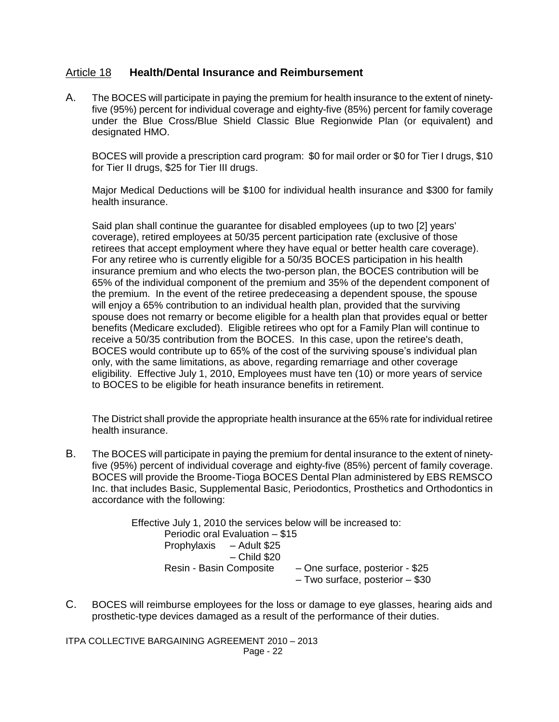# Article 18 **Health/Dental Insurance and Reimbursement**

A. The BOCES will participate in paying the premium for health insurance to the extent of ninetyfive (95%) percent for individual coverage and eighty-five (85%) percent for family coverage under the Blue Cross/Blue Shield Classic Blue Regionwide Plan (or equivalent) and designated HMO.

BOCES will provide a prescription card program: \$0 for mail order or \$0 for Tier I drugs, \$10 for Tier II drugs, \$25 for Tier III drugs.

Major Medical Deductions will be \$100 for individual health insurance and \$300 for family health insurance.

Said plan shall continue the guarantee for disabled employees (up to two [2] years' coverage), retired employees at 50/35 percent participation rate (exclusive of those retirees that accept employment where they have equal or better health care coverage). For any retiree who is currently eligible for a 50/35 BOCES participation in his health insurance premium and who elects the two-person plan, the BOCES contribution will be 65% of the individual component of the premium and 35% of the dependent component of the premium. In the event of the retiree predeceasing a dependent spouse, the spouse will enjoy a 65% contribution to an individual health plan, provided that the surviving spouse does not remarry or become eligible for a health plan that provides equal or better benefits (Medicare excluded). Eligible retirees who opt for a Family Plan will continue to receive a 50/35 contribution from the BOCES. In this case, upon the retiree's death, BOCES would contribute up to 65% of the cost of the surviving spouse's individual plan only, with the same limitations, as above, regarding remarriage and other coverage eligibility. Effective July 1, 2010, Employees must have ten (10) or more years of service to BOCES to be eligible for heath insurance benefits in retirement.

The District shall provide the appropriate health insurance at the 65% rate for individual retiree health insurance.

B. The BOCES will participate in paying the premium for dental insurance to the extent of ninetyfive (95%) percent of individual coverage and eighty-five (85%) percent of family coverage. BOCES will provide the Broome-Tioga BOCES Dental Plan administered by EBS REMSCO Inc. that includes Basic, Supplemental Basic, Periodontics, Prosthetics and Orthodontics in accordance with the following:

> Effective July 1, 2010 the services below will be increased to: Periodic oral Evaluation – \$15 Prophylaxis – Adult \$25 – Child \$20 Resin - Basin Composite – One surface, posterior - \$25 – Two surface, posterior – \$30

C. BOCES will reimburse employees for the loss or damage to eye glasses, hearing aids and prosthetic-type devices damaged as a result of the performance of their duties.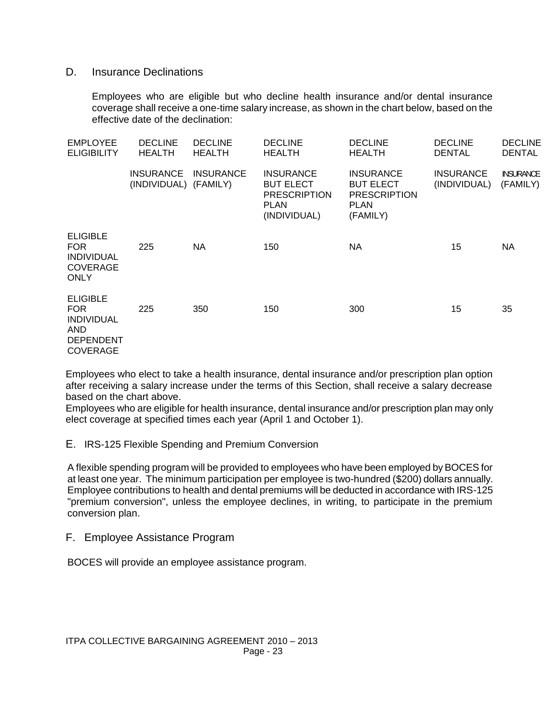### D. Insurance Declinations

Employees who are eligible but who decline health insurance and/or dental insurance coverage shall receive a one-time salary increase, as shown in the chart below, based on the effective date of the declination:

| <b>EMPLOYEE</b><br><b>ELIGIBILITY</b>                                                             | <b>DECLINE</b><br><b>HEALTH</b>  | <b>DECLINE</b><br><b>HEALTH</b> | <b>DECLINE</b><br><b>HEALTH</b>                                                            | <b>DECLINE</b><br><b>HEALTH</b>                                                        | <b>DECLINE</b><br><b>DENTAL</b>  | <b>DECLINE</b><br><b>DENTAL</b> |
|---------------------------------------------------------------------------------------------------|----------------------------------|---------------------------------|--------------------------------------------------------------------------------------------|----------------------------------------------------------------------------------------|----------------------------------|---------------------------------|
|                                                                                                   | <b>INSURANCE</b><br>(INDIVIDUAL) | <b>INSURANCE</b><br>(FAMILY)    | <b>INSURANCE</b><br><b>BUT ELECT</b><br><b>PRESCRIPTION</b><br><b>PLAN</b><br>(INDIVIDUAL) | <b>INSURANCE</b><br><b>BUT ELECT</b><br><b>PRESCRIPTION</b><br><b>PLAN</b><br>(FAMILY) | <b>INSURANCE</b><br>(INDIVIDUAL) | <b>INSURANCE</b><br>(FAMILY)    |
| <b>ELIGIBLE</b><br><b>FOR</b><br><b>INDIVIDUAL</b><br><b>COVERAGE</b><br><b>ONLY</b>              | 225                              | <b>NA</b>                       | 150                                                                                        | NA                                                                                     | 15                               | NA                              |
| <b>ELIGIBLE</b><br>FOR.<br><b>INDIVIDUAL</b><br><b>AND</b><br><b>DEPENDENT</b><br><b>COVERAGE</b> | 225                              | 350                             | 150                                                                                        | 300                                                                                    | 15                               | 35                              |

Employees who elect to take a health insurance, dental insurance and/or prescription plan option after receiving a salary increase under the terms of this Section, shall receive a salary decrease based on the chart above.

Employees who are eligible for health insurance, dental insurance and/or prescription plan may only elect coverage at specified times each year (April 1 and October 1).

### E. IRS-125 Flexible Spending and Premium Conversion

A flexible spending program will be provided to employees who have been employed by BOCES for at least one year. The minimum participation per employee is two-hundred (\$200) dollars annually. Employee contributions to health and dental premiums will be deducted in accordance with IRS-125 "premium conversion", unless the employee declines, in writing, to participate in the premium conversion plan.

### F. Employee Assistance Program

BOCES will provide an employee assistance program.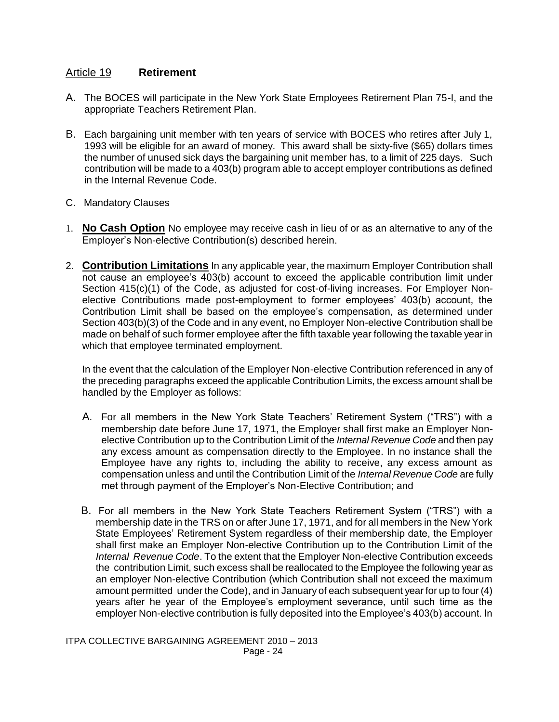# Article 19 **Retirement**

- A. The BOCES will participate in the New York State Employees Retirement Plan 75-I, and the appropriate Teachers Retirement Plan.
- B. Each bargaining unit member with ten years of service with BOCES who retires after July 1, 1993 will be eligible for an award of money. This award shall be sixty-five (\$65) dollars times the number of unused sick days the bargaining unit member has, to a limit of 225 days. Such contribution will be made to a 403(b) program able to accept employer contributions as defined in the Internal Revenue Code.
- C. Mandatory Clauses
- 1. **No Cash Option** No employee may receive cash in lieu of or as an alternative to any of the Employer's Non-elective Contribution(s) described herein.
- 2. **Contribution Limitations** In any applicable year, the maximum Employer Contribution shall not cause an employee's 403(b) account to exceed the applicable contribution limit under Section 415(c)(1) of the Code, as adjusted for cost-of-living increases. For Employer Nonelective Contributions made post-employment to former employees' 403(b) account, the Contribution Limit shall be based on the employee's compensation, as determined under Section 403(b)(3) of the Code and in any event, no Employer Non-elective Contribution shall be made on behalf of such former employee after the fifth taxable year following the taxable year in which that employee terminated employment.

In the event that the calculation of the Employer Non-elective Contribution referenced in any of the preceding paragraphs exceed the applicable Contribution Limits, the excess amount shall be handled by the Employer as follows:

- A. For all members in the New York State Teachers' Retirement System ("TRS") with a membership date before June 17, 1971, the Employer shall first make an Employer Non elective Contribution up to the Contribution Limit of the *Internal Revenue Code* and then pay any excess amount as compensation directly to the Employee. In no instance shall the Employee have any rights to, including the ability to receive, any excess amount as compensation unless and until the Contribution Limit of the *Internal Revenue Code* are fully met through payment of the Employer's Non-Elective Contribution; and
- B. For all members in the New York State Teachers Retirement System ("TRS") with a membership date in the TRS on or after June 17, 1971, and for all members in the New York State Employees' Retirement System regardless of their membership date, the Employer shall first make an Employer Non-elective Contribution up to the Contribution Limit of the *Internal Revenue Code*. To the extent that the Employer Non-elective Contribution exceeds the contribution Limit, such excess shall be reallocated to the Employee the following year as an employer Non-elective Contribution (which Contribution shall not exceed the maximum amount permitted under the Code), and in January of each subsequent year for up to four (4) years after he year of the Employee's employment severance, until such time as the employer Non-elective contribution is fully deposited into the Employee's 403(b) account. In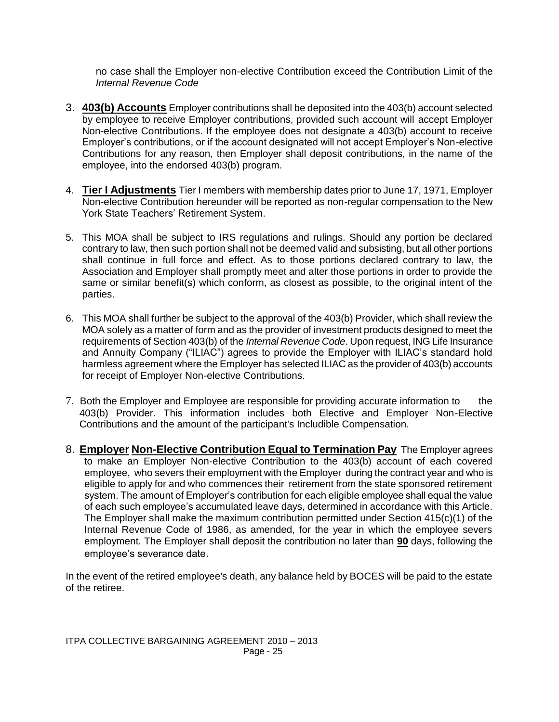no case shall the Employer non-elective Contribution exceed the Contribution Limit of the *Internal Revenue Code*

- 3. **403(b) Accounts** Employer contributions shall be deposited into the 403(b) account selected by employee to receive Employer contributions, provided such account will accept Employer Non-elective Contributions. If the employee does not designate a 403(b) account to receive Employer's contributions, or if the account designated will not accept Employer's Non-elective Contributions for any reason, then Employer shall deposit contributions, in the name of the employee, into the endorsed 403(b) program.
- 4. **Tier I Adjustments** Tier I members with membership dates prior to June 17, 1971, Employer Non-elective Contribution hereunder will be reported as non-regular compensation to the New York State Teachers' Retirement System.
- 5. This MOA shall be subject to IRS regulations and rulings. Should any portion be declared contrary to law, then such portion shall not be deemed valid and subsisting, but all other portions shall continue in full force and effect. As to those portions declared contrary to law, the Association and Employer shall promptly meet and alter those portions in order to provide the same or similar benefit(s) which conform, as closest as possible, to the original intent of the parties.
- 6. This MOA shall further be subject to the approval of the 403(b) Provider, which shall review the MOA solely as a matter of form and as the provider of investment products designed to meet the requirements of Section 403(b) of the *Internal Revenue Code*. Upon request, ING Life Insurance and Annuity Company ("ILIAC") agrees to provide the Employer with ILIAC's standard hold harmless agreement where the Employer has selected ILIAC as the provider of 403(b) accounts for receipt of Employer Non-elective Contributions.
- 7. Both the Employer and Employee are responsible for providing accurate information to the 403(b) Provider. This information includes both Elective and Employer Non-Elective Contributions and the amount of the participant's Includible Compensation.
- 8. **Employer Non-Elective Contribution Equal to Termination Pay** The Employer agrees to make an Employer Non-elective Contribution to the 403(b) account of each covered employee, who severs their employment with the Employer during the contract year and who is eligible to apply for and who commences their retirement from the state sponsored retirement system. The amount of Employer's contribution for each eligible employee shall equal the value of each such employee's accumulated leave days, determined in accordance with this Article. The Employer shall make the maximum contribution permitted under Section 415(c)(1) of the Internal Revenue Code of 1986, as amended, for the year in which the employee severs employment. The Employer shall deposit the contribution no later than **90** days, following the employee's severance date.

In the event of the retired employee's death, any balance held by BOCES will be paid to the estate of the retiree.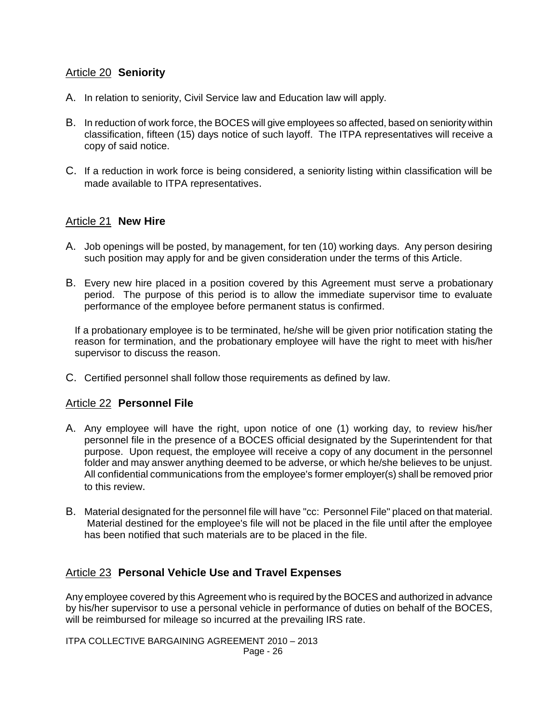# Article 20 **Seniority**

- A. In relation to seniority, Civil Service law and Education law will apply.
- B. In reduction of work force, the BOCES will give employees so affected, based on seniority within classification, fifteen (15) days notice of such layoff. The ITPA representatives will receive a copy of said notice.
- C. If a reduction in work force is being considered, a seniority listing within classification will be made available to ITPA representatives.

# Article 21 **New Hire**

- A. Job openings will be posted, by management, for ten (10) working days. Any person desiring such position may apply for and be given consideration under the terms of this Article.
- B. Every new hire placed in a position covered by this Agreement must serve a probationary period. The purpose of this period is to allow the immediate supervisor time to evaluate performance of the employee before permanent status is confirmed.

If a probationary employee is to be terminated, he/she will be given prior notification stating the reason for termination, and the probationary employee will have the right to meet with his/her supervisor to discuss the reason.

C. Certified personnel shall follow those requirements as defined by law.

# Article 22 **Personnel File**

- A. Any employee will have the right, upon notice of one (1) working day, to review his/her personnel file in the presence of a BOCES official designated by the Superintendent for that purpose. Upon request, the employee will receive a copy of any document in the personnel folder and may answer anything deemed to be adverse, or which he/she believes to be unjust. All confidential communications from the employee's former employer(s) shall be removed prior to this review.
- B. Material designated for the personnel file will have "cc: Personnel File" placed on that material. Material destined for the employee's file will not be placed in the file until after the employee has been notified that such materials are to be placed in the file.

# Article 23 **Personal Vehicle Use and Travel Expenses**

Any employee covered by this Agreement who is required by the BOCES and authorized in advance by his/her supervisor to use a personal vehicle in performance of duties on behalf of the BOCES, will be reimbursed for mileage so incurred at the prevailing IRS rate.